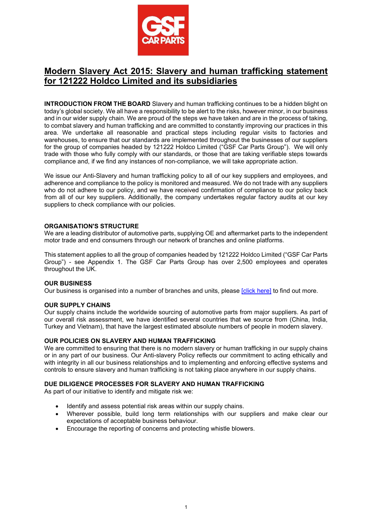

# Modern Slavery Act 2015: Slavery and human trafficking statement for 121222 Holdco Limited and its subsidiaries

**INTRODUCTION FROM THE BOARD** Slavery and human trafficking continues to be a hidden blight on today's global society. We all have a responsibility to be alert to the risks, however minor, in our business and in our wider supply chain. We are proud of the steps we have taken and are in the process of taking, to combat slavery and human trafficking and are committed to constantly improving our practices in this area. We undertake all reasonable and practical steps including regular visits to factories and warehouses, to ensure that our standards are implemented throughout the businesses of our suppliers for the group of companies headed by 121222 Holdco Limited ("GSF Car Parts Group"). We will only trade with those who fully comply with our standards, or those that are taking verifiable steps towards compliance and, if we find any instances of non-compliance, we will take appropriate action.

We issue our Anti-Slavery and human trafficking policy to all of our key suppliers and employees, and adherence and compliance to the policy is monitored and measured. We do not trade with any suppliers who do not adhere to our policy, and we have received confirmation of compliance to our policy back from all of our key suppliers. Additionally, the company undertakes regular factory audits at our key suppliers to check compliance with our policies.

## ORGANISATION'S STRUCTURE

We are a leading distributor of automotive parts, supplying OE and aftermarket parts to the independent motor trade and end consumers through our network of branches and online platforms.

This statement applies to all the group of companies headed by 121222 Holdco Limited ("GSF Car Parts Group") - see Appendix 1. The GSF Car Parts Group has over 2,500 employees and operates throughout the UK.

#### OUR BUSINESS

Our business is organised into a number of branches and units, please [click here] to find out more.

#### OUR SUPPLY CHAINS

Our supply chains include the worldwide sourcing of automotive parts from major suppliers. As part of our overall risk assessment, we have identified several countries that we source from (China, India, Turkey and Vietnam), that have the largest estimated absolute numbers of people in modern slavery.

#### OUR POLICIES ON SLAVERY AND HUMAN TRAFFICKING

We are committed to ensuring that there is no modern slavery or human trafficking in our supply chains or in any part of our business. Our Anti-slavery Policy reflects our commitment to acting ethically and with integrity in all our business relationships and to implementing and enforcing effective systems and controls to ensure slavery and human trafficking is not taking place anywhere in our supply chains.

#### DUE DILIGENCE PROCESSES FOR SLAVERY AND HUMAN TRAFFICKING

As part of our initiative to identify and mitigate risk we:

- Identify and assess potential risk areas within our supply chains.
- Wherever possible, build long term relationships with our suppliers and make clear our expectations of acceptable business behaviour.
- Encourage the reporting of concerns and protecting whistle blowers.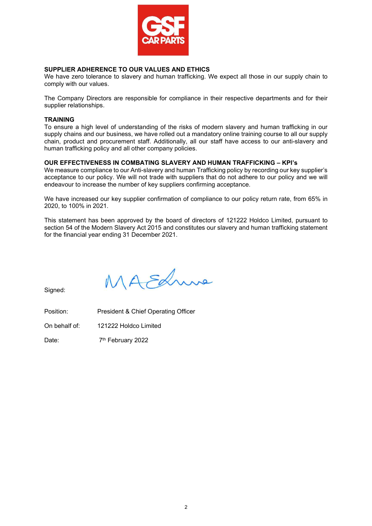

# SUPPLIER ADHERENCE TO OUR VALUES AND ETHICS

We have zero tolerance to slavery and human trafficking. We expect all those in our supply chain to comply with our values.

The Company Directors are responsible for compliance in their respective departments and for their supplier relationships.

## **TRAINING**

To ensure a high level of understanding of the risks of modern slavery and human trafficking in our supply chains and our business, we have rolled out a mandatory online training course to all our supply chain, product and procurement staff. Additionally, all our staff have access to our anti-slavery and human trafficking policy and all other company policies.

# OUR EFFECTIVENESS IN COMBATING SLAVERY AND HUMAN TRAFFICKING – KPI's

We measure compliance to our Anti-slavery and human Trafficking policy by recording our key supplier's acceptance to our policy. We will not trade with suppliers that do not adhere to our policy and we will endeavour to increase the number of key suppliers confirming acceptance.

We have increased our key supplier confirmation of compliance to our policy return rate, from 65% in 2020, to 100% in 2021.

This statement has been approved by the board of directors of 121222 Holdco Limited, pursuant to section 54 of the Modern Slavery Act 2015 and constitutes our slavery and human trafficking statement for the financial year ending 31 December 2021.

1A Edm

Signed:

Position: President & Chief Operating Officer

On behalf of: 121222 Holdco Limited

Date: 7<sup>th</sup> February 2022